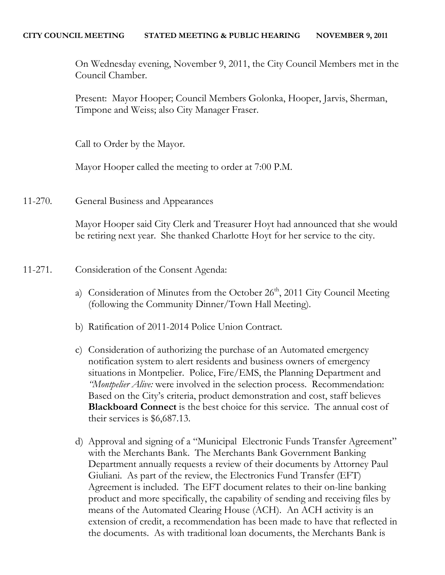On Wednesday evening, November 9, 2011, the City Council Members met in the Council Chamber.

Present: Mayor Hooper; Council Members Golonka, Hooper, Jarvis, Sherman, Timpone and Weiss; also City Manager Fraser.

Call to Order by the Mayor.

Mayor Hooper called the meeting to order at 7:00 P.M.

11-270. General Business and Appearances

Mayor Hooper said City Clerk and Treasurer Hoyt had announced that she would be retiring next year. She thanked Charlotte Hoyt for her service to the city.

## 11-271. Consideration of the Consent Agenda:

- a) Consideration of Minutes from the October 26<sup>th</sup>, 2011 City Council Meeting (following the Community Dinner/Town Hall Meeting).
- b) Ratification of 2011-2014 Police Union Contract.
- c) Consideration of authorizing the purchase of an Automated emergency notification system to alert residents and business owners of emergency situations in Montpelier. Police, Fire/EMS, the Planning Department and *"Montpelier Alive:* were involved in the selection process. Recommendation: Based on the City's criteria, product demonstration and cost, staff believes **Blackboard Connect** is the best choice for this service. The annual cost of their services is \$6,687.13.
- d) Approval and signing of a "Municipal Electronic Funds Transfer Agreement" with the Merchants Bank. The Merchants Bank Government Banking Department annually requests a review of their documents by Attorney Paul Giuliani. As part of the review, the Electronics Fund Transfer (EFT) Agreement is included. The EFT document relates to their on-line banking product and more specifically, the capability of sending and receiving files by means of the Automated Clearing House (ACH). An ACH activity is an extension of credit, a recommendation has been made to have that reflected in the documents. As with traditional loan documents, the Merchants Bank is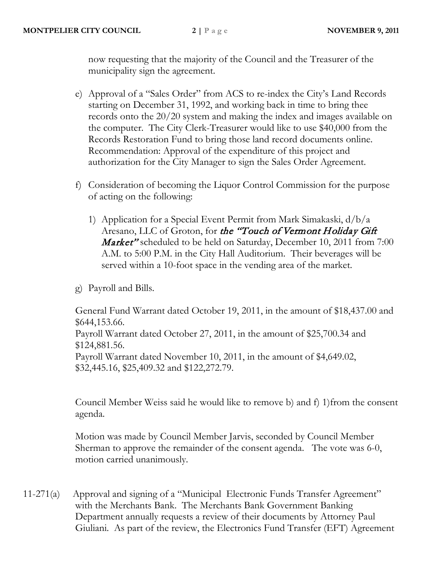now requesting that the majority of the Council and the Treasurer of the municipality sign the agreement.

- e) Approval of a "Sales Order" from ACS to re-index the City's Land Records starting on December 31, 1992, and working back in time to bring thee records onto the 20/20 system and making the index and images available on the computer. The City Clerk-Treasurer would like to use \$40,000 from the Records Restoration Fund to bring those land record documents online. Recommendation: Approval of the expenditure of this project and authorization for the City Manager to sign the Sales Order Agreement.
- f) Consideration of becoming the Liquor Control Commission for the purpose of acting on the following:
	- 1) Application for a Special Event Permit from Mark Simakaski, d/b/a Aresano, LLC of Groton, for the "Touch of Vermont Holiday Gift *Market*" scheduled to be held on Saturday, December 10, 2011 from 7:00 A.M. to 5:00 P.M. in the City Hall Auditorium. Their beverages will be served within a 10-foot space in the vending area of the market.
- g) Payroll and Bills.

General Fund Warrant dated October 19, 2011, in the amount of \$18,437.00 and \$644,153.66. Payroll Warrant dated October 27, 2011, in the amount of \$25,700.34 and \$124,881.56. Payroll Warrant dated November 10, 2011, in the amount of \$4,649.02, \$32,445.16, \$25,409.32 and \$122,272.79.

Council Member Weiss said he would like to remove b) and f) 1)from the consent agenda.

Motion was made by Council Member Jarvis, seconded by Council Member Sherman to approve the remainder of the consent agenda. The vote was 6-0, motion carried unanimously.

11-271(a) Approval and signing of a "Municipal Electronic Funds Transfer Agreement" with the Merchants Bank. The Merchants Bank Government Banking Department annually requests a review of their documents by Attorney Paul Giuliani. As part of the review, the Electronics Fund Transfer (EFT) Agreement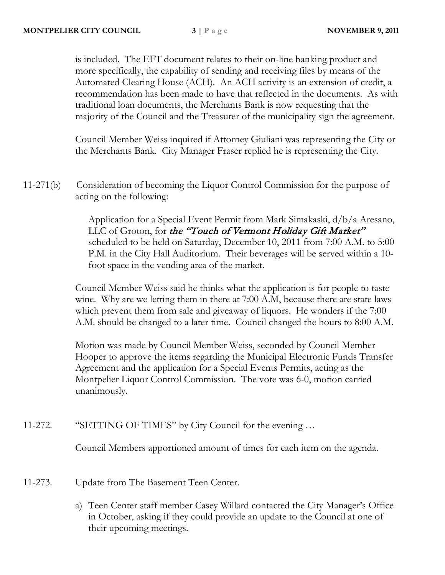is included. The EFT document relates to their on-line banking product and more specifically, the capability of sending and receiving files by means of the Automated Clearing House (ACH). An ACH activity is an extension of credit, a recommendation has been made to have that reflected in the documents. As with traditional loan documents, the Merchants Bank is now requesting that the majority of the Council and the Treasurer of the municipality sign the agreement.

Council Member Weiss inquired if Attorney Giuliani was representing the City or the Merchants Bank. City Manager Fraser replied he is representing the City.

11-271(b) Consideration of becoming the Liquor Control Commission for the purpose of acting on the following:

> Application for a Special Event Permit from Mark Simakaski, d/b/a Aresano, LLC of Groton, for the "Touch of Vermont Holiday Gift Market" scheduled to be held on Saturday, December 10, 2011 from 7:00 A.M. to 5:00 P.M. in the City Hall Auditorium. Their beverages will be served within a 10 foot space in the vending area of the market.

Council Member Weiss said he thinks what the application is for people to taste wine. Why are we letting them in there at 7:00 A.M, because there are state laws which prevent them from sale and giveaway of liquors. He wonders if the 7:00 A.M. should be changed to a later time. Council changed the hours to 8:00 A.M.

Motion was made by Council Member Weiss, seconded by Council Member Hooper to approve the items regarding the Municipal Electronic Funds Transfer Agreement and the application for a Special Events Permits, acting as the Montpelier Liquor Control Commission. The vote was 6-0, motion carried unanimously.

11-272. "SETTING OF TIMES" by City Council for the evening …

Council Members apportioned amount of times for each item on the agenda.

- 11-273. Update from The Basement Teen Center.
	- a) Teen Center staff member Casey Willard contacted the City Manager's Office in October, asking if they could provide an update to the Council at one of their upcoming meetings.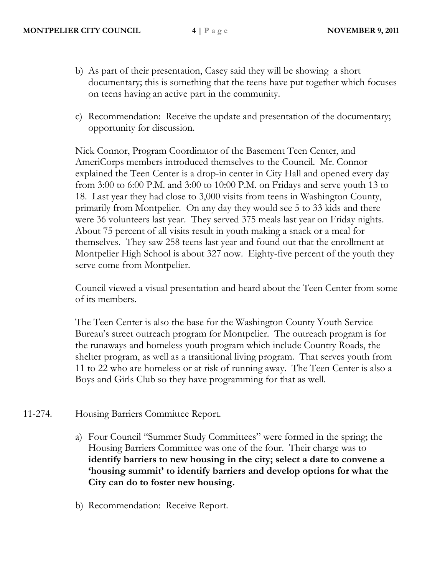- b) As part of their presentation, Casey said they will be showing a short documentary; this is something that the teens have put together which focuses on teens having an active part in the community.
- c) Recommendation: Receive the update and presentation of the documentary; opportunity for discussion.

Nick Connor, Program Coordinator of the Basement Teen Center, and AmeriCorps members introduced themselves to the Council. Mr. Connor explained the Teen Center is a drop-in center in City Hall and opened every day from 3:00 to 6:00 P.M. and 3:00 to 10:00 P.M. on Fridays and serve youth 13 to 18. Last year they had close to 3,000 visits from teens in Washington County, primarily from Montpelier. On any day they would see 5 to 33 kids and there were 36 volunteers last year. They served 375 meals last year on Friday nights. About 75 percent of all visits result in youth making a snack or a meal for themselves. They saw 258 teens last year and found out that the enrollment at Montpelier High School is about 327 now. Eighty-five percent of the youth they serve come from Montpelier.

Council viewed a visual presentation and heard about the Teen Center from some of its members.

The Teen Center is also the base for the Washington County Youth Service Bureau's street outreach program for Montpelier. The outreach program is for the runaways and homeless youth program which include Country Roads, the shelter program, as well as a transitional living program. That serves youth from 11 to 22 who are homeless or at risk of running away. The Teen Center is also a Boys and Girls Club so they have programming for that as well.

- 11-274. Housing Barriers Committee Report.
	- a) Four Council "Summer Study Committees" were formed in the spring; the Housing Barriers Committee was one of the four. Their charge was to **identify barriers to new housing in the city; select a date to convene a 'housing summit' to identify barriers and develop options for what the City can do to foster new housing.**
	- b) Recommendation: Receive Report.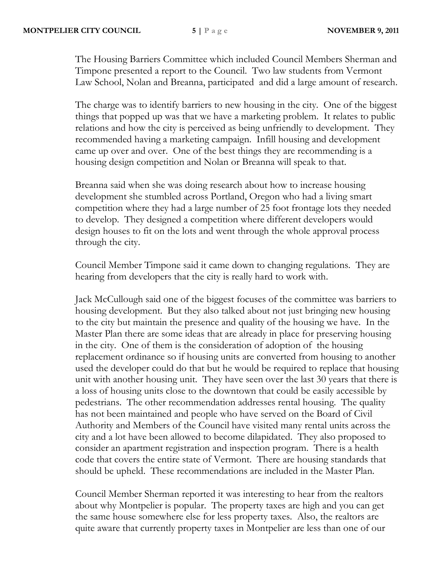The Housing Barriers Committee which included Council Members Sherman and Timpone presented a report to the Council. Two law students from Vermont Law School, Nolan and Breanna, participated and did a large amount of research.

The charge was to identify barriers to new housing in the city. One of the biggest things that popped up was that we have a marketing problem. It relates to public relations and how the city is perceived as being unfriendly to development. They recommended having a marketing campaign. Infill housing and development came up over and over. One of the best things they are recommending is a housing design competition and Nolan or Breanna will speak to that.

Breanna said when she was doing research about how to increase housing development she stumbled across Portland, Oregon who had a living smart competition where they had a large number of 25 foot frontage lots they needed to develop. They designed a competition where different developers would design houses to fit on the lots and went through the whole approval process through the city.

Council Member Timpone said it came down to changing regulations. They are hearing from developers that the city is really hard to work with.

Jack McCullough said one of the biggest focuses of the committee was barriers to housing development. But they also talked about not just bringing new housing to the city but maintain the presence and quality of the housing we have. In the Master Plan there are some ideas that are already in place for preserving housing in the city. One of them is the consideration of adoption of the housing replacement ordinance so if housing units are converted from housing to another used the developer could do that but he would be required to replace that housing unit with another housing unit. They have seen over the last 30 years that there is a loss of housing units close to the downtown that could be easily accessible by pedestrians. The other recommendation addresses rental housing. The quality has not been maintained and people who have served on the Board of Civil Authority and Members of the Council have visited many rental units across the city and a lot have been allowed to become dilapidated. They also proposed to consider an apartment registration and inspection program. There is a health code that covers the entire state of Vermont. There are housing standards that should be upheld. These recommendations are included in the Master Plan.

Council Member Sherman reported it was interesting to hear from the realtors about why Montpelier is popular. The property taxes are high and you can get the same house somewhere else for less property taxes. Also, the realtors are quite aware that currently property taxes in Montpelier are less than one of our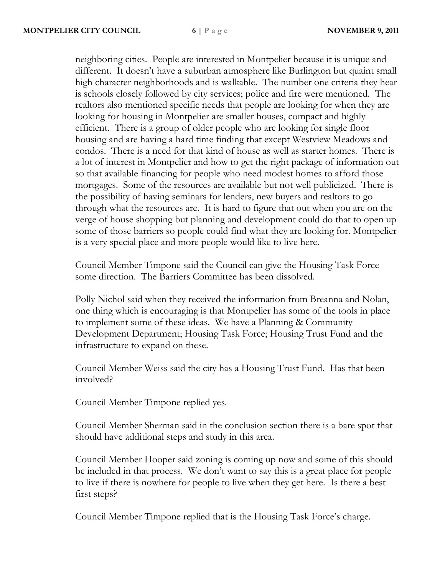neighboring cities. People are interested in Montpelier because it is unique and different. It doesn't have a suburban atmosphere like Burlington but quaint small high character neighborhoods and is walkable. The number one criteria they hear is schools closely followed by city services; police and fire were mentioned. The realtors also mentioned specific needs that people are looking for when they are looking for housing in Montpelier are smaller houses, compact and highly efficient. There is a group of older people who are looking for single floor housing and are having a hard time finding that except Westview Meadows and condos. There is a need for that kind of house as well as starter homes. There is a lot of interest in Montpelier and how to get the right package of information out so that available financing for people who need modest homes to afford those mortgages. Some of the resources are available but not well publicized. There is the possibility of having seminars for lenders, new buyers and realtors to go through what the resources are. It is hard to figure that out when you are on the verge of house shopping but planning and development could do that to open up some of those barriers so people could find what they are looking for. Montpelier is a very special place and more people would like to live here.

Council Member Timpone said the Council can give the Housing Task Force some direction. The Barriers Committee has been dissolved.

Polly Nichol said when they received the information from Breanna and Nolan, one thing which is encouraging is that Montpelier has some of the tools in place to implement some of these ideas. We have a Planning & Community Development Department; Housing Task Force; Housing Trust Fund and the infrastructure to expand on these.

Council Member Weiss said the city has a Housing Trust Fund. Has that been involved?

Council Member Timpone replied yes.

Council Member Sherman said in the conclusion section there is a bare spot that should have additional steps and study in this area.

Council Member Hooper said zoning is coming up now and some of this should be included in that process. We don't want to say this is a great place for people to live if there is nowhere for people to live when they get here. Is there a best first steps?

Council Member Timpone replied that is the Housing Task Force's charge.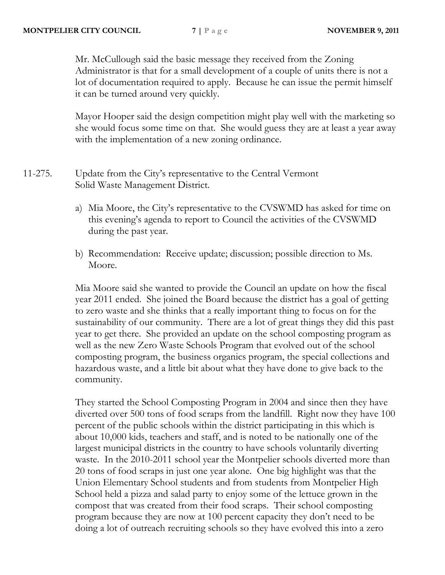Mr. McCullough said the basic message they received from the Zoning Administrator is that for a small development of a couple of units there is not a lot of documentation required to apply. Because he can issue the permit himself it can be turned around very quickly.

Mayor Hooper said the design competition might play well with the marketing so she would focus some time on that. She would guess they are at least a year away with the implementation of a new zoning ordinance.

- 11-275. Update from the City's representative to the Central Vermont Solid Waste Management District.
	- a) Mia Moore, the City's representative to the CVSWMD has asked for time on this evening's agenda to report to Council the activities of the CVSWMD during the past year.
	- b) Recommendation: Receive update; discussion; possible direction to Ms. Moore.

Mia Moore said she wanted to provide the Council an update on how the fiscal year 2011 ended. She joined the Board because the district has a goal of getting to zero waste and she thinks that a really important thing to focus on for the sustainability of our community. There are a lot of great things they did this past year to get there. She provided an update on the school composting program as well as the new Zero Waste Schools Program that evolved out of the school composting program, the business organics program, the special collections and hazardous waste, and a little bit about what they have done to give back to the community.

They started the School Composting Program in 2004 and since then they have diverted over 500 tons of food scraps from the landfill. Right now they have 100 percent of the public schools within the district participating in this which is about 10,000 kids, teachers and staff, and is noted to be nationally one of the largest municipal districts in the country to have schools voluntarily diverting waste. In the 2010-2011 school year the Montpelier schools diverted more than 20 tons of food scraps in just one year alone. One big highlight was that the Union Elementary School students and from students from Montpelier High School held a pizza and salad party to enjoy some of the lettuce grown in the compost that was created from their food scraps. Their school composting program because they are now at 100 percent capacity they don't need to be doing a lot of outreach recruiting schools so they have evolved this into a zero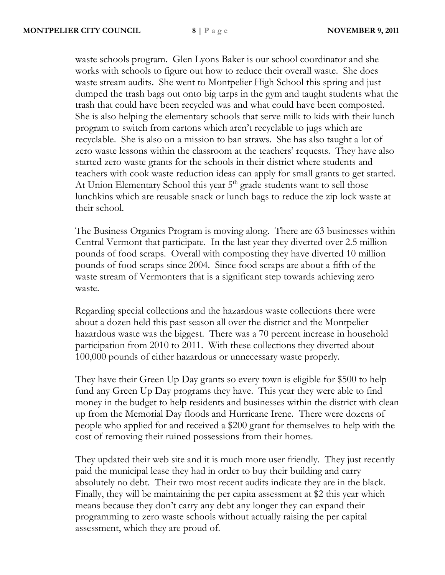waste schools program. Glen Lyons Baker is our school coordinator and she works with schools to figure out how to reduce their overall waste. She does waste stream audits. She went to Montpelier High School this spring and just dumped the trash bags out onto big tarps in the gym and taught students what the trash that could have been recycled was and what could have been composted. She is also helping the elementary schools that serve milk to kids with their lunch program to switch from cartons which aren't recyclable to jugs which are recyclable. She is also on a mission to ban straws. She has also taught a lot of zero waste lessons within the classroom at the teachers' requests. They have also started zero waste grants for the schools in their district where students and teachers with cook waste reduction ideas can apply for small grants to get started. At Union Elementary School this year  $5<sup>th</sup>$  grade students want to sell those lunchkins which are reusable snack or lunch bags to reduce the zip lock waste at their school.

The Business Organics Program is moving along. There are 63 businesses within Central Vermont that participate. In the last year they diverted over 2.5 million pounds of food scraps. Overall with composting they have diverted 10 million pounds of food scraps since 2004. Since food scraps are about a fifth of the waste stream of Vermonters that is a significant step towards achieving zero waste.

Regarding special collections and the hazardous waste collections there were about a dozen held this past season all over the district and the Montpelier hazardous waste was the biggest. There was a 70 percent increase in household participation from 2010 to 2011. With these collections they diverted about 100,000 pounds of either hazardous or unnecessary waste properly.

They have their Green Up Day grants so every town is eligible for \$500 to help fund any Green Up Day programs they have. This year they were able to find money in the budget to help residents and businesses within the district with clean up from the Memorial Day floods and Hurricane Irene. There were dozens of people who applied for and received a \$200 grant for themselves to help with the cost of removing their ruined possessions from their homes.

They updated their web site and it is much more user friendly. They just recently paid the municipal lease they had in order to buy their building and carry absolutely no debt. Their two most recent audits indicate they are in the black. Finally, they will be maintaining the per capita assessment at \$2 this year which means because they don't carry any debt any longer they can expand their programming to zero waste schools without actually raising the per capital assessment, which they are proud of.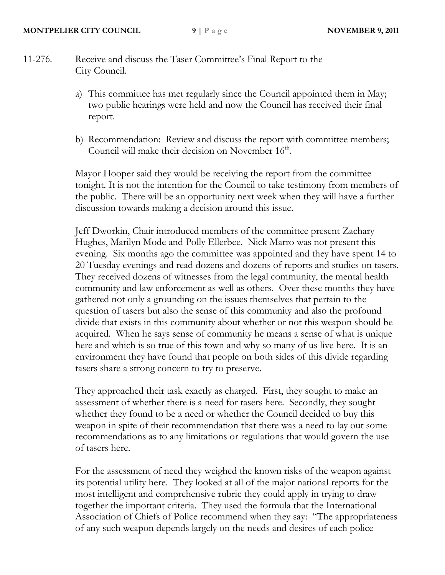- 11-276. Receive and discuss the Taser Committee's Final Report to the City Council.
	- a) This committee has met regularly since the Council appointed them in May; two public hearings were held and now the Council has received their final report.
	- b) Recommendation: Review and discuss the report with committee members; Council will make their decision on November  $16<sup>th</sup>$ .

Mayor Hooper said they would be receiving the report from the committee tonight. It is not the intention for the Council to take testimony from members of the public. There will be an opportunity next week when they will have a further discussion towards making a decision around this issue.

Jeff Dworkin, Chair introduced members of the committee present Zachary Hughes, Marilyn Mode and Polly Ellerbee. Nick Marro was not present this evening. Six months ago the committee was appointed and they have spent 14 to 20 Tuesday evenings and read dozens and dozens of reports and studies on tasers. They received dozens of witnesses from the legal community, the mental health community and law enforcement as well as others. Over these months they have gathered not only a grounding on the issues themselves that pertain to the question of tasers but also the sense of this community and also the profound divide that exists in this community about whether or not this weapon should be acquired. When he says sense of community he means a sense of what is unique here and which is so true of this town and why so many of us live here. It is an environment they have found that people on both sides of this divide regarding tasers share a strong concern to try to preserve.

They approached their task exactly as charged. First, they sought to make an assessment of whether there is a need for tasers here. Secondly, they sought whether they found to be a need or whether the Council decided to buy this weapon in spite of their recommendation that there was a need to lay out some recommendations as to any limitations or regulations that would govern the use of tasers here.

For the assessment of need they weighed the known risks of the weapon against its potential utility here. They looked at all of the major national reports for the most intelligent and comprehensive rubric they could apply in trying to draw together the important criteria. They used the formula that the International Association of Chiefs of Police recommend when they say: "The appropriateness of any such weapon depends largely on the needs and desires of each police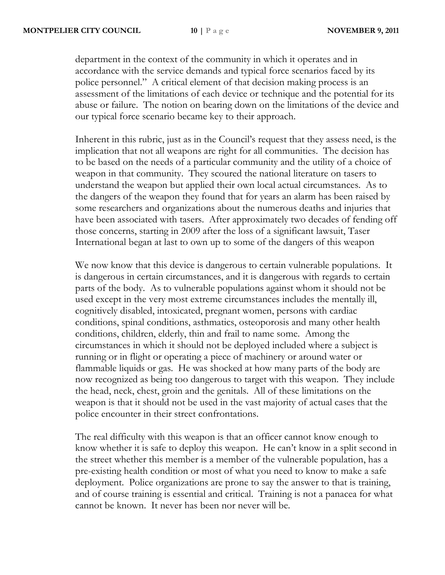department in the context of the community in which it operates and in accordance with the service demands and typical force scenarios faced by its police personnel." A critical element of that decision making process is an assessment of the limitations of each device or technique and the potential for its abuse or failure. The notion on bearing down on the limitations of the device and our typical force scenario became key to their approach.

Inherent in this rubric, just as in the Council's request that they assess need, is the implication that not all weapons are right for all communities. The decision has to be based on the needs of a particular community and the utility of a choice of weapon in that community. They scoured the national literature on tasers to understand the weapon but applied their own local actual circumstances. As to the dangers of the weapon they found that for years an alarm has been raised by some researchers and organizations about the numerous deaths and injuries that have been associated with tasers. After approximately two decades of fending off those concerns, starting in 2009 after the loss of a significant lawsuit, Taser International began at last to own up to some of the dangers of this weapon

We now know that this device is dangerous to certain vulnerable populations. It is dangerous in certain circumstances, and it is dangerous with regards to certain parts of the body. As to vulnerable populations against whom it should not be used except in the very most extreme circumstances includes the mentally ill, cognitively disabled, intoxicated, pregnant women, persons with cardiac conditions, spinal conditions, asthmatics, osteoporosis and many other health conditions, children, elderly, thin and frail to name some. Among the circumstances in which it should not be deployed included where a subject is running or in flight or operating a piece of machinery or around water or flammable liquids or gas. He was shocked at how many parts of the body are now recognized as being too dangerous to target with this weapon. They include the head, neck, chest, groin and the genitals. All of these limitations on the weapon is that it should not be used in the vast majority of actual cases that the police encounter in their street confrontations.

The real difficulty with this weapon is that an officer cannot know enough to know whether it is safe to deploy this weapon. He can't know in a split second in the street whether this member is a member of the vulnerable population, has a pre-existing health condition or most of what you need to know to make a safe deployment. Police organizations are prone to say the answer to that is training, and of course training is essential and critical. Training is not a panacea for what cannot be known. It never has been nor never will be.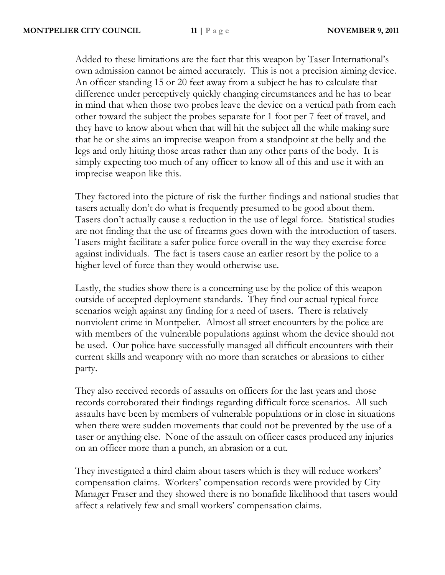Added to these limitations are the fact that this weapon by Taser International's own admission cannot be aimed accurately. This is not a precision aiming device. An officer standing 15 or 20 feet away from a subject he has to calculate that difference under perceptively quickly changing circumstances and he has to bear in mind that when those two probes leave the device on a vertical path from each other toward the subject the probes separate for 1 foot per 7 feet of travel, and they have to know about when that will hit the subject all the while making sure that he or she aims an imprecise weapon from a standpoint at the belly and the legs and only hitting those areas rather than any other parts of the body. It is simply expecting too much of any officer to know all of this and use it with an imprecise weapon like this.

They factored into the picture of risk the further findings and national studies that tasers actually don't do what is frequently presumed to be good about them. Tasers don't actually cause a reduction in the use of legal force. Statistical studies are not finding that the use of firearms goes down with the introduction of tasers. Tasers might facilitate a safer police force overall in the way they exercise force against individuals. The fact is tasers cause an earlier resort by the police to a higher level of force than they would otherwise use.

Lastly, the studies show there is a concerning use by the police of this weapon outside of accepted deployment standards. They find our actual typical force scenarios weigh against any finding for a need of tasers. There is relatively nonviolent crime in Montpelier. Almost all street encounters by the police are with members of the vulnerable populations against whom the device should not be used. Our police have successfully managed all difficult encounters with their current skills and weaponry with no more than scratches or abrasions to either party.

They also received records of assaults on officers for the last years and those records corroborated their findings regarding difficult force scenarios. All such assaults have been by members of vulnerable populations or in close in situations when there were sudden movements that could not be prevented by the use of a taser or anything else. None of the assault on officer cases produced any injuries on an officer more than a punch, an abrasion or a cut.

They investigated a third claim about tasers which is they will reduce workers' compensation claims. Workers' compensation records were provided by City Manager Fraser and they showed there is no bonafide likelihood that tasers would affect a relatively few and small workers' compensation claims.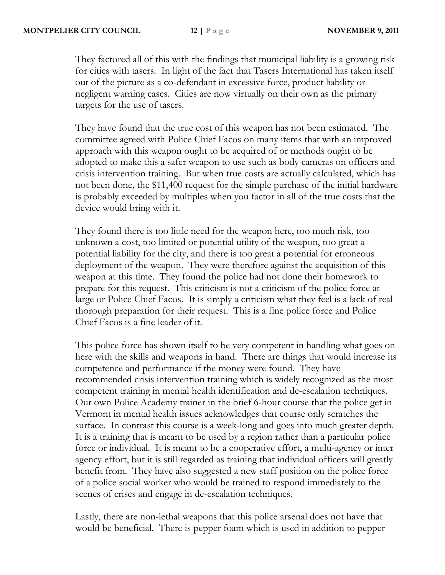They factored all of this with the findings that municipal liability is a growing risk for cities with tasers. In light of the fact that Tasers International has taken itself out of the picture as a co-defendant in excessive force, product liability or negligent warning cases. Cities are now virtually on their own as the primary targets for the use of tasers.

They have found that the true cost of this weapon has not been estimated. The committee agreed with Police Chief Facos on many items that with an improved approach with this weapon ought to be acquired of or methods ought to be adopted to make this a safer weapon to use such as body cameras on officers and crisis intervention training. But when true costs are actually calculated, which has not been done, the \$11,400 request for the simple purchase of the initial hardware is probably exceeded by multiples when you factor in all of the true costs that the device would bring with it.

They found there is too little need for the weapon here, too much risk, too unknown a cost, too limited or potential utility of the weapon, too great a potential liability for the city, and there is too great a potential for erroneous deployment of the weapon. They were therefore against the acquisition of this weapon at this time. They found the police had not done their homework to prepare for this request. This criticism is not a criticism of the police force at large or Police Chief Facos. It is simply a criticism what they feel is a lack of real thorough preparation for their request. This is a fine police force and Police Chief Facos is a fine leader of it.

This police force has shown itself to be very competent in handling what goes on here with the skills and weapons in hand. There are things that would increase its competence and performance if the money were found. They have recommended crisis intervention training which is widely recognized as the most competent training in mental health identification and de-escalation techniques. Our own Police Academy trainer in the brief 6-hour course that the police get in Vermont in mental health issues acknowledges that course only scratches the surface. In contrast this course is a week-long and goes into much greater depth. It is a training that is meant to be used by a region rather than a particular police force or individual. It is meant to be a cooperative effort, a multi-agency or inter agency effort, but it is still regarded as training that individual officers will greatly benefit from. They have also suggested a new staff position on the police force of a police social worker who would be trained to respond immediately to the scenes of crises and engage in de-escalation techniques.

Lastly, there are non-lethal weapons that this police arsenal does not have that would be beneficial. There is pepper foam which is used in addition to pepper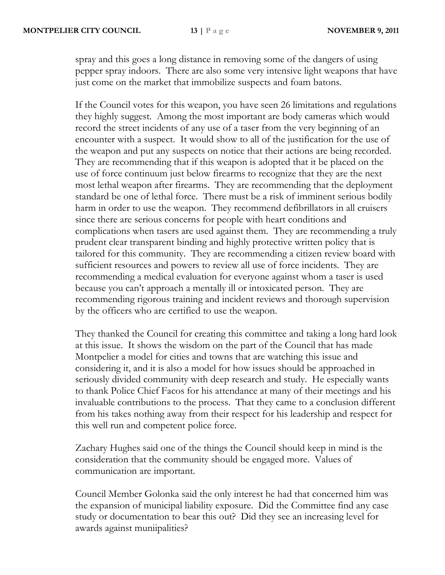spray and this goes a long distance in removing some of the dangers of using pepper spray indoors. There are also some very intensive light weapons that have just come on the market that immobilize suspects and foam batons.

If the Council votes for this weapon, you have seen 26 limitations and regulations they highly suggest. Among the most important are body cameras which would record the street incidents of any use of a taser from the very beginning of an encounter with a suspect. It would show to all of the justification for the use of the weapon and put any suspects on notice that their actions are being recorded. They are recommending that if this weapon is adopted that it be placed on the use of force continuum just below firearms to recognize that they are the next most lethal weapon after firearms. They are recommending that the deployment standard be one of lethal force. There must be a risk of imminent serious bodily harm in order to use the weapon. They recommend defibrillators in all cruisers since there are serious concerns for people with heart conditions and complications when tasers are used against them. They are recommending a truly prudent clear transparent binding and highly protective written policy that is tailored for this community. They are recommending a citizen review board with sufficient resources and powers to review all use of force incidents. They are recommending a medical evaluation for everyone against whom a taser is used because you can't approach a mentally ill or intoxicated person. They are recommending rigorous training and incident reviews and thorough supervision by the officers who are certified to use the weapon.

They thanked the Council for creating this committee and taking a long hard look at this issue. It shows the wisdom on the part of the Council that has made Montpelier a model for cities and towns that are watching this issue and considering it, and it is also a model for how issues should be approached in seriously divided community with deep research and study. He especially wants to thank Police Chief Facos for his attendance at many of their meetings and his invaluable contributions to the process. That they came to a conclusion different from his takes nothing away from their respect for his leadership and respect for this well run and competent police force.

Zachary Hughes said one of the things the Council should keep in mind is the consideration that the community should be engaged more. Values of communication are important.

Council Member Golonka said the only interest he had that concerned him was the expansion of municipal liability exposure. Did the Committee find any case study or documentation to bear this out? Did they see an increasing level for awards against muniipalities?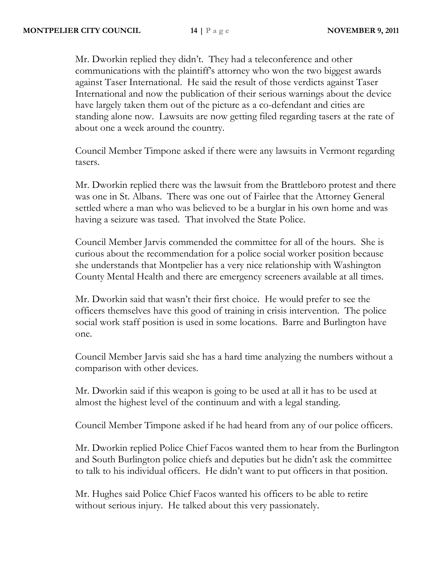Mr. Dworkin replied they didn't. They had a teleconference and other communications with the plaintiff's attorney who won the two biggest awards against Taser International. He said the result of those verdicts against Taser International and now the publication of their serious warnings about the device have largely taken them out of the picture as a co-defendant and cities are standing alone now. Lawsuits are now getting filed regarding tasers at the rate of about one a week around the country.

Council Member Timpone asked if there were any lawsuits in Vermont regarding tasers.

Mr. Dworkin replied there was the lawsuit from the Brattleboro protest and there was one in St. Albans. There was one out of Fairlee that the Attorney General settled where a man who was believed to be a burglar in his own home and was having a seizure was tased. That involved the State Police.

Council Member Jarvis commended the committee for all of the hours. She is curious about the recommendation for a police social worker position because she understands that Montpelier has a very nice relationship with Washington County Mental Health and there are emergency screeners available at all times.

Mr. Dworkin said that wasn't their first choice. He would prefer to see the officers themselves have this good of training in crisis intervention. The police social work staff position is used in some locations. Barre and Burlington have one.

Council Member Jarvis said she has a hard time analyzing the numbers without a comparison with other devices.

Mr. Dworkin said if this weapon is going to be used at all it has to be used at almost the highest level of the continuum and with a legal standing.

Council Member Timpone asked if he had heard from any of our police officers.

Mr. Dworkin replied Police Chief Facos wanted them to hear from the Burlington and South Burlington police chiefs and deputies but he didn't ask the committee to talk to his individual officers. He didn't want to put officers in that position.

Mr. Hughes said Police Chief Facos wanted his officers to be able to retire without serious injury. He talked about this very passionately.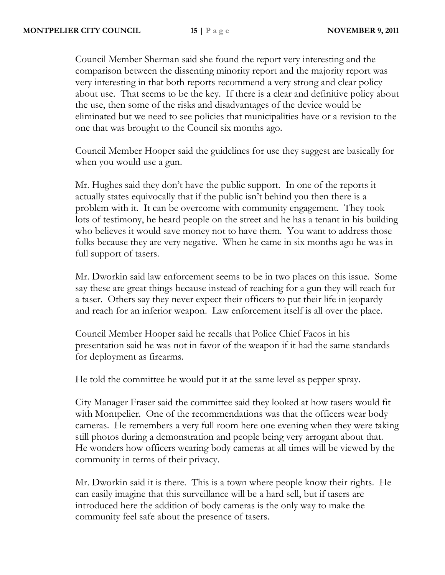Council Member Sherman said she found the report very interesting and the comparison between the dissenting minority report and the majority report was very interesting in that both reports recommend a very strong and clear policy about use. That seems to be the key. If there is a clear and definitive policy about the use, then some of the risks and disadvantages of the device would be eliminated but we need to see policies that municipalities have or a revision to the one that was brought to the Council six months ago.

Council Member Hooper said the guidelines for use they suggest are basically for when you would use a gun.

Mr. Hughes said they don't have the public support. In one of the reports it actually states equivocally that if the public isn't behind you then there is a problem with it. It can be overcome with community engagement. They took lots of testimony, he heard people on the street and he has a tenant in his building who believes it would save money not to have them. You want to address those folks because they are very negative. When he came in six months ago he was in full support of tasers.

Mr. Dworkin said law enforcement seems to be in two places on this issue. Some say these are great things because instead of reaching for a gun they will reach for a taser. Others say they never expect their officers to put their life in jeopardy and reach for an inferior weapon. Law enforcement itself is all over the place.

Council Member Hooper said he recalls that Police Chief Facos in his presentation said he was not in favor of the weapon if it had the same standards for deployment as firearms.

He told the committee he would put it at the same level as pepper spray.

City Manager Fraser said the committee said they looked at how tasers would fit with Montpelier. One of the recommendations was that the officers wear body cameras. He remembers a very full room here one evening when they were taking still photos during a demonstration and people being very arrogant about that. He wonders how officers wearing body cameras at all times will be viewed by the community in terms of their privacy.

Mr. Dworkin said it is there. This is a town where people know their rights. He can easily imagine that this surveillance will be a hard sell, but if tasers are introduced here the addition of body cameras is the only way to make the community feel safe about the presence of tasers.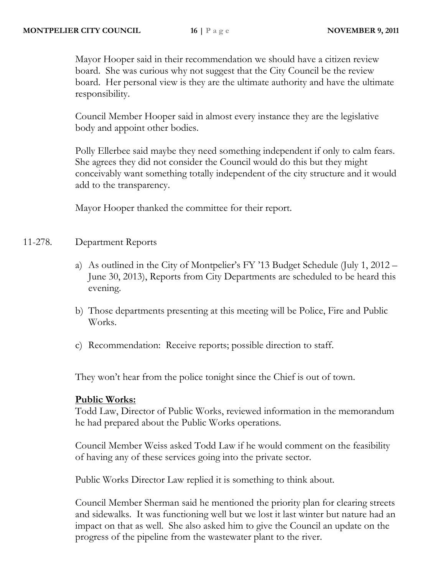Mayor Hooper said in their recommendation we should have a citizen review board. She was curious why not suggest that the City Council be the review board. Her personal view is they are the ultimate authority and have the ultimate responsibility.

Council Member Hooper said in almost every instance they are the legislative body and appoint other bodies.

Polly Ellerbee said maybe they need something independent if only to calm fears. She agrees they did not consider the Council would do this but they might conceivably want something totally independent of the city structure and it would add to the transparency.

Mayor Hooper thanked the committee for their report.

## 11-278. Department Reports

- a) As outlined in the City of Montpelier's FY '13 Budget Schedule (July 1, 2012 June 30, 2013), Reports from City Departments are scheduled to be heard this evening.
- b) Those departments presenting at this meeting will be Police, Fire and Public Works.
- c) Recommendation: Receive reports; possible direction to staff.

They won't hear from the police tonight since the Chief is out of town.

## **Public Works:**

Todd Law, Director of Public Works, reviewed information in the memorandum he had prepared about the Public Works operations.

Council Member Weiss asked Todd Law if he would comment on the feasibility of having any of these services going into the private sector.

Public Works Director Law replied it is something to think about.

Council Member Sherman said he mentioned the priority plan for clearing streets and sidewalks. It was functioning well but we lost it last winter but nature had an impact on that as well. She also asked him to give the Council an update on the progress of the pipeline from the wastewater plant to the river.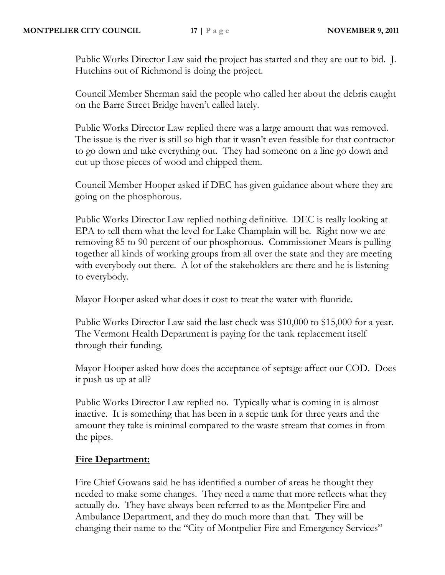Public Works Director Law said the project has started and they are out to bid. J. Hutchins out of Richmond is doing the project.

Council Member Sherman said the people who called her about the debris caught on the Barre Street Bridge haven't called lately.

Public Works Director Law replied there was a large amount that was removed. The issue is the river is still so high that it wasn't even feasible for that contractor to go down and take everything out. They had someone on a line go down and cut up those pieces of wood and chipped them.

Council Member Hooper asked if DEC has given guidance about where they are going on the phosphorous.

Public Works Director Law replied nothing definitive. DEC is really looking at EPA to tell them what the level for Lake Champlain will be. Right now we are removing 85 to 90 percent of our phosphorous. Commissioner Mears is pulling together all kinds of working groups from all over the state and they are meeting with everybody out there. A lot of the stakeholders are there and he is listening to everybody.

Mayor Hooper asked what does it cost to treat the water with fluoride.

Public Works Director Law said the last check was \$10,000 to \$15,000 for a year. The Vermont Health Department is paying for the tank replacement itself through their funding.

Mayor Hooper asked how does the acceptance of septage affect our COD. Does it push us up at all?

Public Works Director Law replied no. Typically what is coming in is almost inactive. It is something that has been in a septic tank for three years and the amount they take is minimal compared to the waste stream that comes in from the pipes.

## **Fire Department:**

Fire Chief Gowans said he has identified a number of areas he thought they needed to make some changes. They need a name that more reflects what they actually do. They have always been referred to as the Montpelier Fire and Ambulance Department, and they do much more than that. They will be changing their name to the "City of Montpelier Fire and Emergency Services"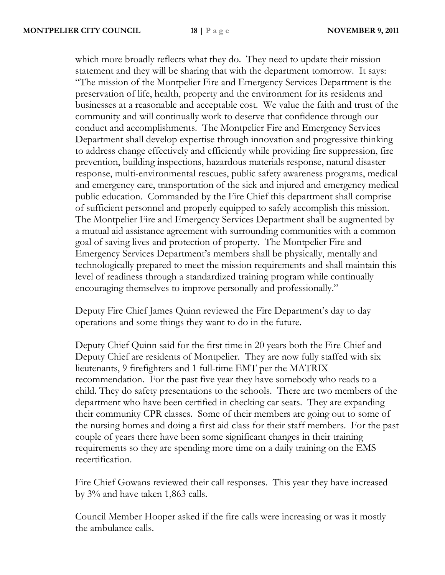which more broadly reflects what they do. They need to update their mission statement and they will be sharing that with the department tomorrow. It says: "The mission of the Montpelier Fire and Emergency Services Department is the preservation of life, health, property and the environment for its residents and businesses at a reasonable and acceptable cost. We value the faith and trust of the community and will continually work to deserve that confidence through our conduct and accomplishments. The Montpelier Fire and Emergency Services Department shall develop expertise through innovation and progressive thinking to address change effectively and efficiently while providing fire suppression, fire prevention, building inspections, hazardous materials response, natural disaster response, multi-environmental rescues, public safety awareness programs, medical and emergency care, transportation of the sick and injured and emergency medical public education. Commanded by the Fire Chief this department shall comprise of sufficient personnel and properly equipped to safely accomplish this mission. The Montpelier Fire and Emergency Services Department shall be augmented by a mutual aid assistance agreement with surrounding communities with a common goal of saving lives and protection of property. The Montpelier Fire and Emergency Services Department's members shall be physically, mentally and technologically prepared to meet the mission requirements and shall maintain this level of readiness through a standardized training program while continually encouraging themselves to improve personally and professionally."

Deputy Fire Chief James Quinn reviewed the Fire Department's day to day operations and some things they want to do in the future.

Deputy Chief Quinn said for the first time in 20 years both the Fire Chief and Deputy Chief are residents of Montpelier. They are now fully staffed with six lieutenants, 9 firefighters and 1 full-time EMT per the MATRIX recommendation. For the past five year they have somebody who reads to a child. They do safety presentations to the schools. There are two members of the department who have been certified in checking car seats. They are expanding their community CPR classes. Some of their members are going out to some of the nursing homes and doing a first aid class for their staff members. For the past couple of years there have been some significant changes in their training requirements so they are spending more time on a daily training on the EMS recertification.

Fire Chief Gowans reviewed their call responses. This year they have increased by 3% and have taken 1,863 calls.

Council Member Hooper asked if the fire calls were increasing or was it mostly the ambulance calls.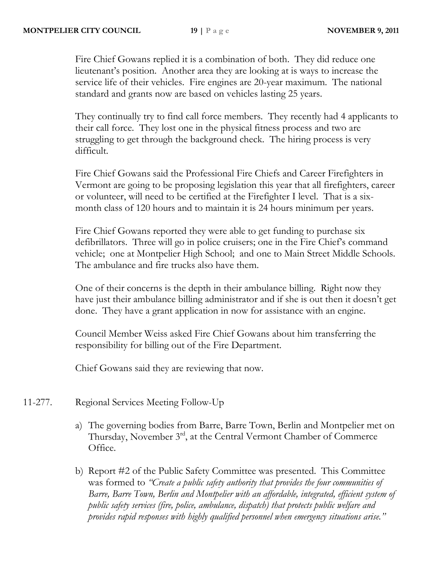Fire Chief Gowans replied it is a combination of both. They did reduce one lieutenant's position. Another area they are looking at is ways to increase the service life of their vehicles. Fire engines are 20-year maximum. The national standard and grants now are based on vehicles lasting 25 years.

They continually try to find call force members. They recently had 4 applicants to their call force. They lost one in the physical fitness process and two are struggling to get through the background check. The hiring process is very difficult.

Fire Chief Gowans said the Professional Fire Chiefs and Career Firefighters in Vermont are going to be proposing legislation this year that all firefighters, career or volunteer, will need to be certified at the Firefighter I level. That is a sixmonth class of 120 hours and to maintain it is 24 hours minimum per years.

Fire Chief Gowans reported they were able to get funding to purchase six defibrillators. Three will go in police cruisers; one in the Fire Chief's command vehicle; one at Montpelier High School; and one to Main Street Middle Schools. The ambulance and fire trucks also have them.

One of their concerns is the depth in their ambulance billing. Right now they have just their ambulance billing administrator and if she is out then it doesn't get done. They have a grant application in now for assistance with an engine.

Council Member Weiss asked Fire Chief Gowans about him transferring the responsibility for billing out of the Fire Department.

Chief Gowans said they are reviewing that now.

- 11-277. Regional Services Meeting Follow-Up
	- a) The governing bodies from Barre, Barre Town, Berlin and Montpelier met on Thursday, November 3rd, at the Central Vermont Chamber of Commerce Office.
	- b) Report #2 of the Public Safety Committee was presented. This Committee was formed to *"Create a public safety authority that provides the four communities of Barre, Barre Town, Berlin and Montpelier with an affordable, integrated, efficient system of public safety services (fire, police, ambulance, dispatch) that protects public welfare and provides rapid responses with highly qualified personnel when emergency situations arise."*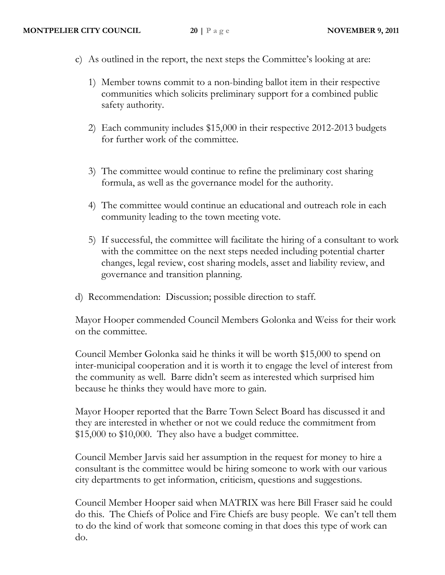- c) As outlined in the report, the next steps the Committee's looking at are:
	- 1) Member towns commit to a non-binding ballot item in their respective communities which solicits preliminary support for a combined public safety authority.
	- 2) Each community includes \$15,000 in their respective 2012-2013 budgets for further work of the committee.
	- 3) The committee would continue to refine the preliminary cost sharing formula, as well as the governance model for the authority.
	- 4) The committee would continue an educational and outreach role in each community leading to the town meeting vote.
	- 5) If successful, the committee will facilitate the hiring of a consultant to work with the committee on the next steps needed including potential charter changes, legal review, cost sharing models, asset and liability review, and governance and transition planning.
- d) Recommendation: Discussion; possible direction to staff.

Mayor Hooper commended Council Members Golonka and Weiss for their work on the committee.

Council Member Golonka said he thinks it will be worth \$15,000 to spend on inter-municipal cooperation and it is worth it to engage the level of interest from the community as well. Barre didn't seem as interested which surprised him because he thinks they would have more to gain.

Mayor Hooper reported that the Barre Town Select Board has discussed it and they are interested in whether or not we could reduce the commitment from \$15,000 to \$10,000. They also have a budget committee.

Council Member Jarvis said her assumption in the request for money to hire a consultant is the committee would be hiring someone to work with our various city departments to get information, criticism, questions and suggestions.

Council Member Hooper said when MATRIX was here Bill Fraser said he could do this. The Chiefs of Police and Fire Chiefs are busy people. We can't tell them to do the kind of work that someone coming in that does this type of work can do.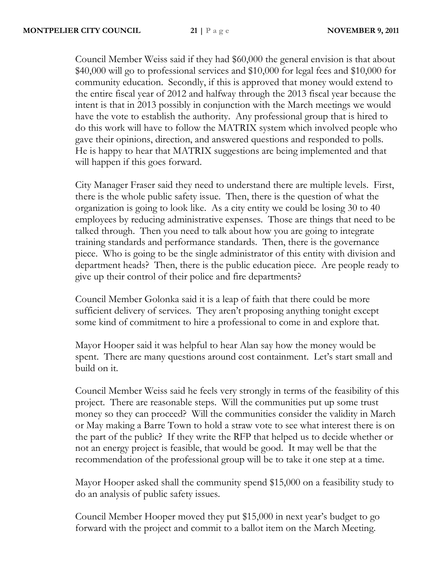Council Member Weiss said if they had \$60,000 the general envision is that about \$40,000 will go to professional services and \$10,000 for legal fees and \$10,000 for community education. Secondly, if this is approved that money would extend to the entire fiscal year of 2012 and halfway through the 2013 fiscal year because the intent is that in 2013 possibly in conjunction with the March meetings we would have the vote to establish the authority. Any professional group that is hired to do this work will have to follow the MATRIX system which involved people who gave their opinions, direction, and answered questions and responded to polls. He is happy to hear that MATRIX suggestions are being implemented and that will happen if this goes forward.

City Manager Fraser said they need to understand there are multiple levels. First, there is the whole public safety issue. Then, there is the question of what the organization is going to look like. As a city entity we could be losing 30 to 40 employees by reducing administrative expenses. Those are things that need to be talked through. Then you need to talk about how you are going to integrate training standards and performance standards. Then, there is the governance piece. Who is going to be the single administrator of this entity with division and department heads? Then, there is the public education piece. Are people ready to give up their control of their police and fire departments?

Council Member Golonka said it is a leap of faith that there could be more sufficient delivery of services. They aren't proposing anything tonight except some kind of commitment to hire a professional to come in and explore that.

Mayor Hooper said it was helpful to hear Alan say how the money would be spent. There are many questions around cost containment. Let's start small and build on it.

Council Member Weiss said he feels very strongly in terms of the feasibility of this project. There are reasonable steps. Will the communities put up some trust money so they can proceed? Will the communities consider the validity in March or May making a Barre Town to hold a straw vote to see what interest there is on the part of the public? If they write the RFP that helped us to decide whether or not an energy project is feasible, that would be good. It may well be that the recommendation of the professional group will be to take it one step at a time.

Mayor Hooper asked shall the community spend \$15,000 on a feasibility study to do an analysis of public safety issues.

Council Member Hooper moved they put \$15,000 in next year's budget to go forward with the project and commit to a ballot item on the March Meeting.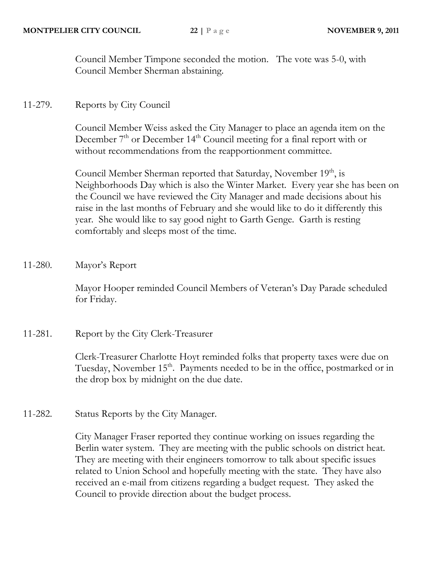Council Member Timpone seconded the motion. The vote was 5-0, with Council Member Sherman abstaining.

11-279. Reports by City Council

Council Member Weiss asked the City Manager to place an agenda item on the December  $7<sup>th</sup>$  or December 14<sup>th</sup> Council meeting for a final report with or without recommendations from the reapportionment committee.

Council Member Sherman reported that Saturday, November 19<sup>th</sup>, is Neighborhoods Day which is also the Winter Market. Every year she has been on the Council we have reviewed the City Manager and made decisions about his raise in the last months of February and she would like to do it differently this year. She would like to say good night to Garth Genge. Garth is resting comfortably and sleeps most of the time.

11-280. Mayor's Report

Mayor Hooper reminded Council Members of Veteran's Day Parade scheduled for Friday.

11-281. Report by the City Clerk-Treasurer

Clerk-Treasurer Charlotte Hoyt reminded folks that property taxes were due on Tuesday, November 15<sup>th</sup>. Payments needed to be in the office, postmarked or in the drop box by midnight on the due date.

11-282. Status Reports by the City Manager.

City Manager Fraser reported they continue working on issues regarding the Berlin water system. They are meeting with the public schools on district heat. They are meeting with their engineers tomorrow to talk about specific issues related to Union School and hopefully meeting with the state. They have also received an e-mail from citizens regarding a budget request. They asked the Council to provide direction about the budget process.